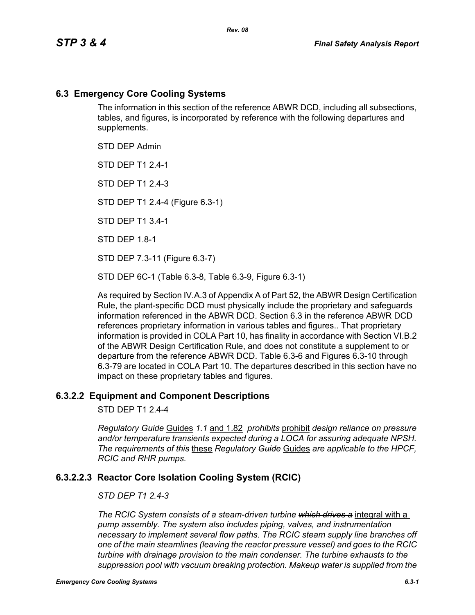### **6.3 Emergency Core Cooling Systems**

The information in this section of the reference ABWR DCD, including all subsections, tables, and figures, is incorporated by reference with the following departures and supplements.

STD DEP Admin

STD DEP T1 2.4-1

STD DFP T1 2 4-3

STD DEP T1 2.4-4 (Figure 6.3-1)

STD DEP T1 3.4-1

STD DEP 1.8-1

STD DEP 7.3-11 (Figure 6.3-7)

STD DEP 6C-1 (Table 6.3-8, Table 6.3-9, Figure 6.3-1)

As required by Section IV.A.3 of Appendix A of Part 52, the ABWR Design Certification Rule, the plant-specific DCD must physically include the proprietary and safeguards information referenced in the ABWR DCD. Section 6.3 in the reference ABWR DCD references proprietary information in various tables and figures.. That proprietary information is provided in COLA Part 10, has finality in accordance with Section VI.B.2 of the ABWR Design Certification Rule, and does not constitute a supplement to or departure from the reference ABWR DCD. Table 6.3-6 and Figures 6.3-10 through 6.3-79 are located in COLA Part 10. The departures described in this section have no impact on these proprietary tables and figures.

#### **6.3.2.2 Equipment and Component Descriptions**

STD DEP T1 2.4-4

*Regulatory Guide* Guides *1.1* and 1.82 *prohibits* prohibit *design reliance on pressure and/or temperature transients expected during a LOCA for assuring adequate NPSH. The requirements of this* these *Regulatory Guide* Guides *are applicable to the HPCF, RCIC and RHR pumps.*

#### **6.3.2.2.3 Reactor Core Isolation Cooling System (RCIC)**

#### *STD DEP T1 2.4-3*

*The RCIC System consists of a steam-driven turbine which drives a* integral with a *pump assembly. The system also includes piping, valves, and instrumentation necessary to implement several flow paths. The RCIC steam supply line branches off one of the main steamlines (leaving the reactor pressure vessel) and goes to the RCIC turbine with drainage provision to the main condenser. The turbine exhausts to the suppression pool with vacuum breaking protection. Makeup water is supplied from the*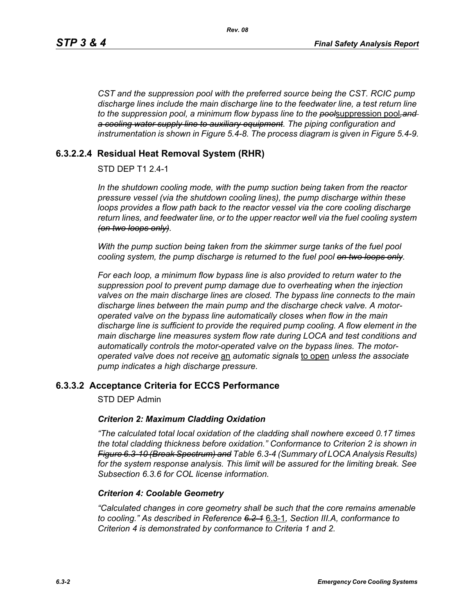*CST and the suppression pool with the preferred source being the CST. RCIC pump discharge lines include the main discharge line to the feedwater line, a test return line to the suppression pool, a minimum flow bypass line to the pool*suppression pool*,and a cooling water supply line to auxiliary equipment. The piping configuration and instrumentation is shown in Figure 5.4-8. The process diagram is given in Figure 5.4-9.*

# **6.3.2.2.4 Residual Heat Removal System (RHR)**

# STD DEP T1 2.4-1

*In the shutdown cooling mode, with the pump suction being taken from the reactor pressure vessel (via the shutdown cooling lines), the pump discharge within these loops provides a flow path back to the reactor vessel via the core cooling discharge return lines, and feedwater line, or to the upper reactor well via the fuel cooling system (on two loops only).*

*With the pump suction being taken from the skimmer surge tanks of the fuel pool cooling system, the pump discharge is returned to the fuel pool on two loops only.*

*For each loop, a minimum flow bypass line is also provided to return water to the suppression pool to prevent pump damage due to overheating when the injection valves on the main discharge lines are closed. The bypass line connects to the main discharge lines between the main pump and the discharge check valve. A motoroperated valve on the bypass line automatically closes when flow in the main discharge line is sufficient to provide the required pump cooling. A flow element in the main discharge line measures system flow rate during LOCA and test conditions and automatically controls the motor-operated valve on the bypass lines. The motoroperated valve does not receive* an *automatic signals* to open *unless the associate pump indicates a high discharge pressure.*

# **6.3.3.2 Acceptance Criteria for ECCS Performance**

STD DEP Admin

#### *Criterion 2: Maximum Cladding Oxidation*

*"The calculated total local oxidation of the cladding shall nowhere exceed 0.17 times the total cladding thickness before oxidation." Conformance to Criterion 2 is shown in Figure 6.3-10 (Break Spectrum) and Table 6.3-4 (Summary of LOCA Analysis Results) for the system response analysis. This limit will be assured for the limiting break. See Subsection [6.3.6](#page-2-0) for COL license information.*

#### *Criterion 4: Coolable Geometry*

*"Calculated changes in core geometry shall be such that the core remains amenable to cooling." As described in Reference 6.2-1* 6.3-1*, Section III.A, conformance to Criterion 4 is demonstrated by conformance to Criteria 1 and 2.*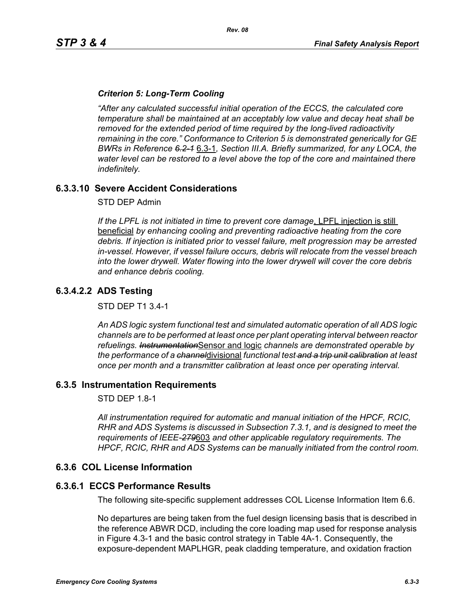### *Criterion 5: Long-Term Cooling*

*"After any calculated successful initial operation of the ECCS, the calculated core temperature shall be maintained at an acceptably low value and decay heat shall be removed for the extended period of time required by the long-lived radioactivity remaining in the core." Conformance to Criterion 5 is demonstrated generically for GE BWRs in Reference 6.2-1* 6.3-1*, Section III.A. Briefly summarized, for any LOCA, the water level can be restored to a level above the top of the core and maintained there indefinitely.*

# **6.3.3.10 Severe Accident Considerations**

STD DEP Admin

*If the LPFL is not initiated in time to prevent core damage*, LPFL injection is still beneficial *by enhancing cooling and preventing radioactive heating from the core debris. If injection is initiated prior to vessel failure, melt progression may be arrested in-vessel. However, if vessel failure occurs, debris will relocate from the vessel breach into the lower drywell. Water flowing into the lower drywell will cover the core debris and enhance debris cooling.*

# **6.3.4.2.2 ADS Testing**

STD DEP T1 3.4-1

*An ADS logic system functional test and simulated automatic operation of all ADS logic channels are to be performed at least once per plant operating interval between reactor refuelings. Instrumentation*Sensor and logic *channels are demonstrated operable by the performance of a channel*divisional *functional test and a trip unit calibration at least once per month and a transmitter calibration at least once per operating interval.*

#### **6.3.5 Instrumentation Requirements**

STD DEP 1.8-1

*All instrumentation required for automatic and manual initiation of the HPCF, RCIC, RHR and ADS Systems is discussed in Subsection 7.3.1, and is designed to meet the requirements of IEEE-279*603 *and other applicable regulatory requirements. The HPCF, RCIC, RHR and ADS Systems can be manually initiated from the control room.*

#### <span id="page-2-0"></span>**6.3.6 COL License Information**

#### **6.3.6.1 ECCS Performance Results**

The following site-specific supplement addresses COL License Information Item 6.6.

No departures are being taken from the fuel design licensing basis that is described in the reference ABWR DCD, including the core loading map used for response analysis in Figure 4.3-1 and the basic control strategy in Table 4A-1. Consequently, the exposure-dependent MAPLHGR, peak cladding temperature, and oxidation fraction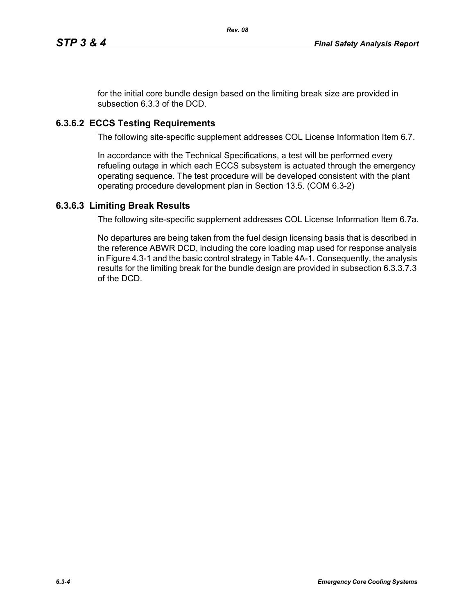for the initial core bundle design based on the limiting break size are provided in subsection 6.3.3 of the DCD.

# **6.3.6.2 ECCS Testing Requirements**

The following site-specific supplement addresses COL License Information Item 6.7.

In accordance with the Technical Specifications, a test will be performed every refueling outage in which each ECCS subsystem is actuated through the emergency operating sequence. The test procedure will be developed consistent with the plant operating procedure development plan in Section 13.5. (COM 6.3-2)

# **6.3.6.3 Limiting Break Results**

The following site-specific supplement addresses COL License Information Item 6.7a.

No departures are being taken from the fuel design licensing basis that is described in the reference ABWR DCD, including the core loading map used for response analysis in Figure 4.3-1 and the basic control strategy in Table 4A-1. Consequently, the analysis results for the limiting break for the bundle design are provided in subsection 6.3.3.7.3 of the DCD.